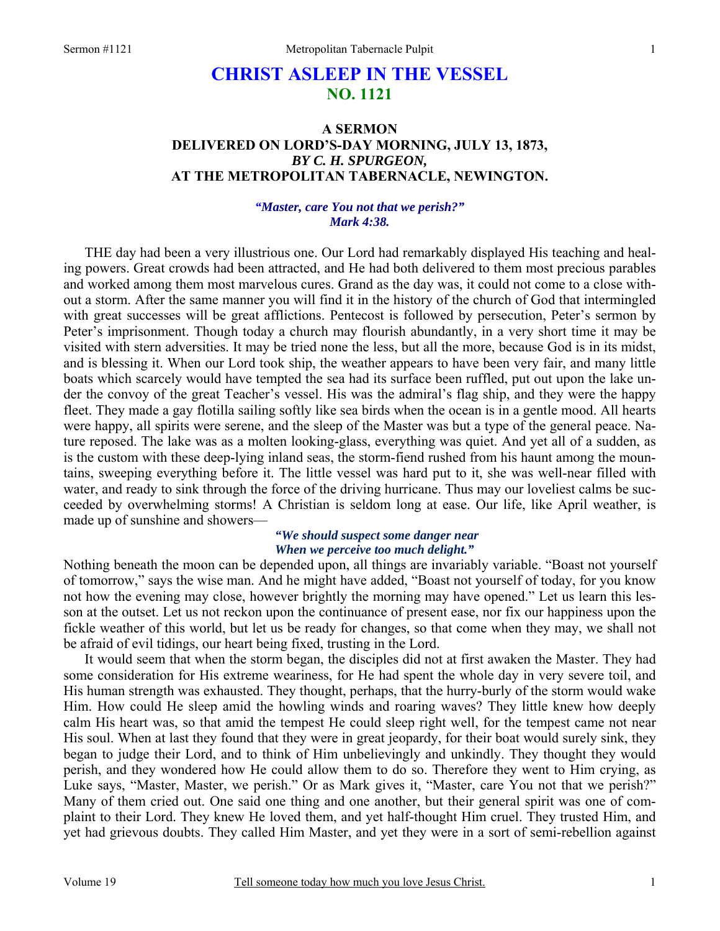# **CHRIST ASLEEP IN THE VESSEL NO. 1121**

# **A SERMON DELIVERED ON LORD'S-DAY MORNING, JULY 13, 1873,**  *BY C. H. SPURGEON,*  **AT THE METROPOLITAN TABERNACLE, NEWINGTON.**

## *"Master, care You not that we perish?" Mark 4:38.*

THE day had been a very illustrious one. Our Lord had remarkably displayed His teaching and healing powers. Great crowds had been attracted, and He had both delivered to them most precious parables and worked among them most marvelous cures. Grand as the day was, it could not come to a close without a storm. After the same manner you will find it in the history of the church of God that intermingled with great successes will be great afflictions. Pentecost is followed by persecution, Peter's sermon by Peter's imprisonment. Though today a church may flourish abundantly, in a very short time it may be visited with stern adversities. It may be tried none the less, but all the more, because God is in its midst, and is blessing it. When our Lord took ship, the weather appears to have been very fair, and many little boats which scarcely would have tempted the sea had its surface been ruffled, put out upon the lake under the convoy of the great Teacher's vessel. His was the admiral's flag ship, and they were the happy fleet. They made a gay flotilla sailing softly like sea birds when the ocean is in a gentle mood. All hearts were happy, all spirits were serene, and the sleep of the Master was but a type of the general peace. Nature reposed. The lake was as a molten looking-glass, everything was quiet. And yet all of a sudden, as is the custom with these deep-lying inland seas, the storm-fiend rushed from his haunt among the mountains, sweeping everything before it. The little vessel was hard put to it, she was well-near filled with water, and ready to sink through the force of the driving hurricane. Thus may our loveliest calms be succeeded by overwhelming storms! A Christian is seldom long at ease. Our life, like April weather, is made up of sunshine and showers—

# *"We should suspect some danger near When we perceive too much delight."*

Nothing beneath the moon can be depended upon, all things are invariably variable. "Boast not yourself of tomorrow," says the wise man. And he might have added, "Boast not yourself of today, for you know not how the evening may close, however brightly the morning may have opened." Let us learn this lesson at the outset. Let us not reckon upon the continuance of present ease, nor fix our happiness upon the fickle weather of this world, but let us be ready for changes, so that come when they may, we shall not be afraid of evil tidings, our heart being fixed, trusting in the Lord.

 It would seem that when the storm began, the disciples did not at first awaken the Master. They had some consideration for His extreme weariness, for He had spent the whole day in very severe toil, and His human strength was exhausted. They thought, perhaps, that the hurry-burly of the storm would wake Him. How could He sleep amid the howling winds and roaring waves? They little knew how deeply calm His heart was, so that amid the tempest He could sleep right well, for the tempest came not near His soul. When at last they found that they were in great jeopardy, for their boat would surely sink, they began to judge their Lord, and to think of Him unbelievingly and unkindly. They thought they would perish, and they wondered how He could allow them to do so. Therefore they went to Him crying, as Luke says, "Master, Master, we perish." Or as Mark gives it, "Master, care You not that we perish?" Many of them cried out. One said one thing and one another, but their general spirit was one of complaint to their Lord. They knew He loved them, and yet half-thought Him cruel. They trusted Him, and yet had grievous doubts. They called Him Master, and yet they were in a sort of semi-rebellion against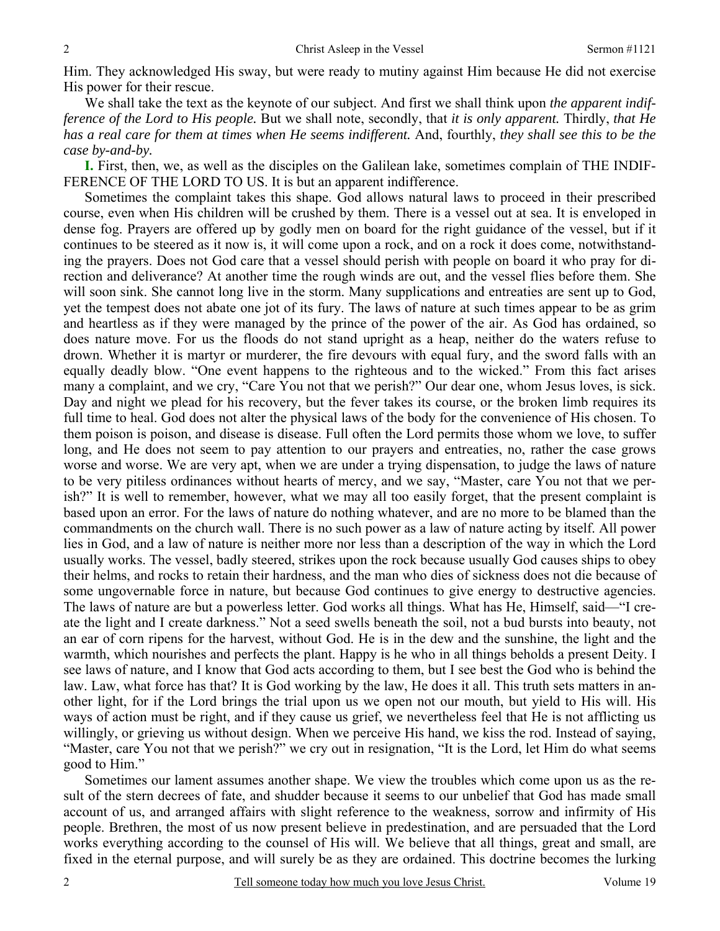Him. They acknowledged His sway, but were ready to mutiny against Him because He did not exercise His power for their rescue.

We shall take the text as the keynote of our subject. And first we shall think upon *the apparent indifference of the Lord to His people.* But we shall note, secondly, that *it is only apparent.* Thirdly, *that He has a real care for them at times when He seems indifferent.* And, fourthly, *they shall see this to be the case by-and-by.* 

**I.** First, then, we, as well as the disciples on the Galilean lake, sometimes complain of THE INDIF-FERENCE OF THE LORD TO US. It is but an apparent indifference.

Sometimes the complaint takes this shape. God allows natural laws to proceed in their prescribed course, even when His children will be crushed by them. There is a vessel out at sea. It is enveloped in dense fog. Prayers are offered up by godly men on board for the right guidance of the vessel, but if it continues to be steered as it now is, it will come upon a rock, and on a rock it does come, notwithstanding the prayers. Does not God care that a vessel should perish with people on board it who pray for direction and deliverance? At another time the rough winds are out, and the vessel flies before them. She will soon sink. She cannot long live in the storm. Many supplications and entreaties are sent up to God, yet the tempest does not abate one jot of its fury. The laws of nature at such times appear to be as grim and heartless as if they were managed by the prince of the power of the air. As God has ordained, so does nature move. For us the floods do not stand upright as a heap, neither do the waters refuse to drown. Whether it is martyr or murderer, the fire devours with equal fury, and the sword falls with an equally deadly blow. "One event happens to the righteous and to the wicked." From this fact arises many a complaint, and we cry, "Care You not that we perish?" Our dear one, whom Jesus loves, is sick. Day and night we plead for his recovery, but the fever takes its course, or the broken limb requires its full time to heal. God does not alter the physical laws of the body for the convenience of His chosen. To them poison is poison, and disease is disease. Full often the Lord permits those whom we love, to suffer long, and He does not seem to pay attention to our prayers and entreaties, no, rather the case grows worse and worse. We are very apt, when we are under a trying dispensation, to judge the laws of nature to be very pitiless ordinances without hearts of mercy, and we say, "Master, care You not that we perish?" It is well to remember, however, what we may all too easily forget, that the present complaint is based upon an error. For the laws of nature do nothing whatever, and are no more to be blamed than the commandments on the church wall. There is no such power as a law of nature acting by itself. All power lies in God, and a law of nature is neither more nor less than a description of the way in which the Lord usually works. The vessel, badly steered, strikes upon the rock because usually God causes ships to obey their helms, and rocks to retain their hardness, and the man who dies of sickness does not die because of some ungovernable force in nature, but because God continues to give energy to destructive agencies. The laws of nature are but a powerless letter. God works all things. What has He, Himself, said—"I create the light and I create darkness." Not a seed swells beneath the soil, not a bud bursts into beauty, not an ear of corn ripens for the harvest, without God. He is in the dew and the sunshine, the light and the warmth, which nourishes and perfects the plant. Happy is he who in all things beholds a present Deity. I see laws of nature, and I know that God acts according to them, but I see best the God who is behind the law. Law, what force has that? It is God working by the law, He does it all. This truth sets matters in another light, for if the Lord brings the trial upon us we open not our mouth, but yield to His will. His ways of action must be right, and if they cause us grief, we nevertheless feel that He is not afflicting us willingly, or grieving us without design. When we perceive His hand, we kiss the rod. Instead of saying, "Master, care You not that we perish?" we cry out in resignation, "It is the Lord, let Him do what seems good to Him."

Sometimes our lament assumes another shape. We view the troubles which come upon us as the result of the stern decrees of fate, and shudder because it seems to our unbelief that God has made small account of us, and arranged affairs with slight reference to the weakness, sorrow and infirmity of His people. Brethren, the most of us now present believe in predestination, and are persuaded that the Lord works everything according to the counsel of His will. We believe that all things, great and small, are fixed in the eternal purpose, and will surely be as they are ordained. This doctrine becomes the lurking

2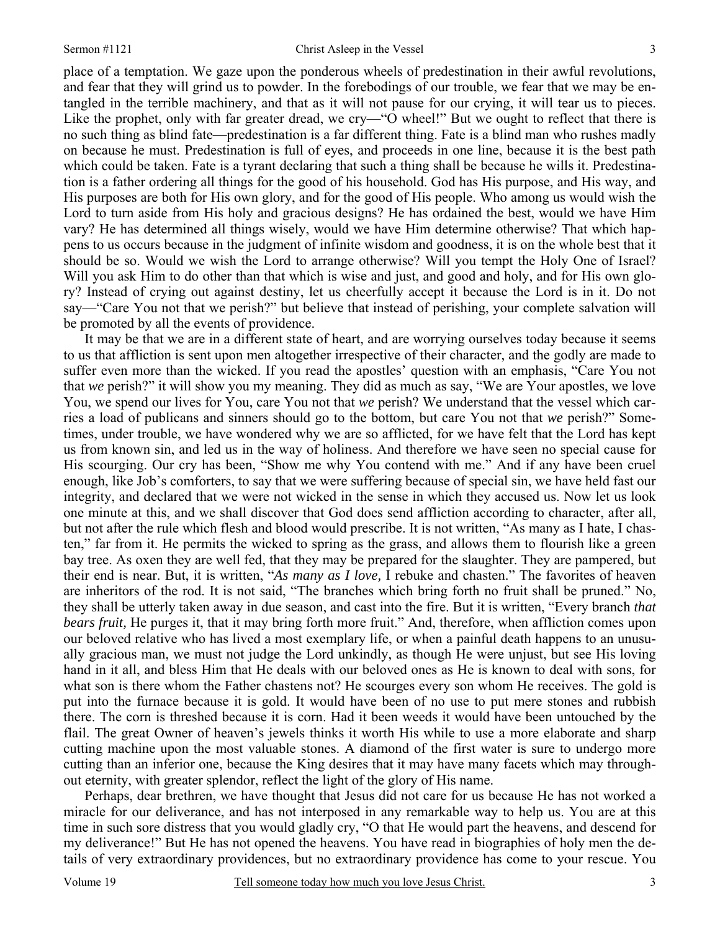place of a temptation. We gaze upon the ponderous wheels of predestination in their awful revolutions, and fear that they will grind us to powder. In the forebodings of our trouble, we fear that we may be entangled in the terrible machinery, and that as it will not pause for our crying, it will tear us to pieces. Like the prophet, only with far greater dread, we cry—"O wheel!" But we ought to reflect that there is no such thing as blind fate—predestination is a far different thing. Fate is a blind man who rushes madly on because he must. Predestination is full of eyes, and proceeds in one line, because it is the best path which could be taken. Fate is a tyrant declaring that such a thing shall be because he wills it. Predestination is a father ordering all things for the good of his household. God has His purpose, and His way, and His purposes are both for His own glory, and for the good of His people. Who among us would wish the Lord to turn aside from His holy and gracious designs? He has ordained the best, would we have Him vary? He has determined all things wisely, would we have Him determine otherwise? That which happens to us occurs because in the judgment of infinite wisdom and goodness, it is on the whole best that it should be so. Would we wish the Lord to arrange otherwise? Will you tempt the Holy One of Israel? Will you ask Him to do other than that which is wise and just, and good and holy, and for His own glory? Instead of crying out against destiny, let us cheerfully accept it because the Lord is in it. Do not say—"Care You not that we perish?" but believe that instead of perishing, your complete salvation will be promoted by all the events of providence.

It may be that we are in a different state of heart, and are worrying ourselves today because it seems to us that affliction is sent upon men altogether irrespective of their character, and the godly are made to suffer even more than the wicked. If you read the apostles' question with an emphasis, "Care You not that *we* perish?" it will show you my meaning. They did as much as say, "We are Your apostles, we love You, we spend our lives for You, care You not that *we* perish? We understand that the vessel which carries a load of publicans and sinners should go to the bottom, but care You not that *we* perish?" Sometimes, under trouble, we have wondered why we are so afflicted, for we have felt that the Lord has kept us from known sin, and led us in the way of holiness. And therefore we have seen no special cause for His scourging. Our cry has been, "Show me why You contend with me." And if any have been cruel enough, like Job's comforters, to say that we were suffering because of special sin, we have held fast our integrity, and declared that we were not wicked in the sense in which they accused us. Now let us look one minute at this, and we shall discover that God does send affliction according to character, after all, but not after the rule which flesh and blood would prescribe. It is not written, "As many as I hate, I chasten," far from it. He permits the wicked to spring as the grass, and allows them to flourish like a green bay tree. As oxen they are well fed, that they may be prepared for the slaughter. They are pampered, but their end is near. But, it is written, "*As many as I love,* I rebuke and chasten." The favorites of heaven are inheritors of the rod. It is not said, "The branches which bring forth no fruit shall be pruned." No, they shall be utterly taken away in due season, and cast into the fire. But it is written, "Every branch *that bears fruit,* He purges it, that it may bring forth more fruit." And, therefore, when affliction comes upon our beloved relative who has lived a most exemplary life, or when a painful death happens to an unusually gracious man, we must not judge the Lord unkindly, as though He were unjust, but see His loving hand in it all, and bless Him that He deals with our beloved ones as He is known to deal with sons, for what son is there whom the Father chastens not? He scourges every son whom He receives. The gold is put into the furnace because it is gold. It would have been of no use to put mere stones and rubbish there. The corn is threshed because it is corn. Had it been weeds it would have been untouched by the flail. The great Owner of heaven's jewels thinks it worth His while to use a more elaborate and sharp cutting machine upon the most valuable stones. A diamond of the first water is sure to undergo more cutting than an inferior one, because the King desires that it may have many facets which may throughout eternity, with greater splendor, reflect the light of the glory of His name.

Perhaps, dear brethren, we have thought that Jesus did not care for us because He has not worked a miracle for our deliverance, and has not interposed in any remarkable way to help us. You are at this time in such sore distress that you would gladly cry, "O that He would part the heavens, and descend for my deliverance!" But He has not opened the heavens. You have read in biographies of holy men the details of very extraordinary providences, but no extraordinary providence has come to your rescue. You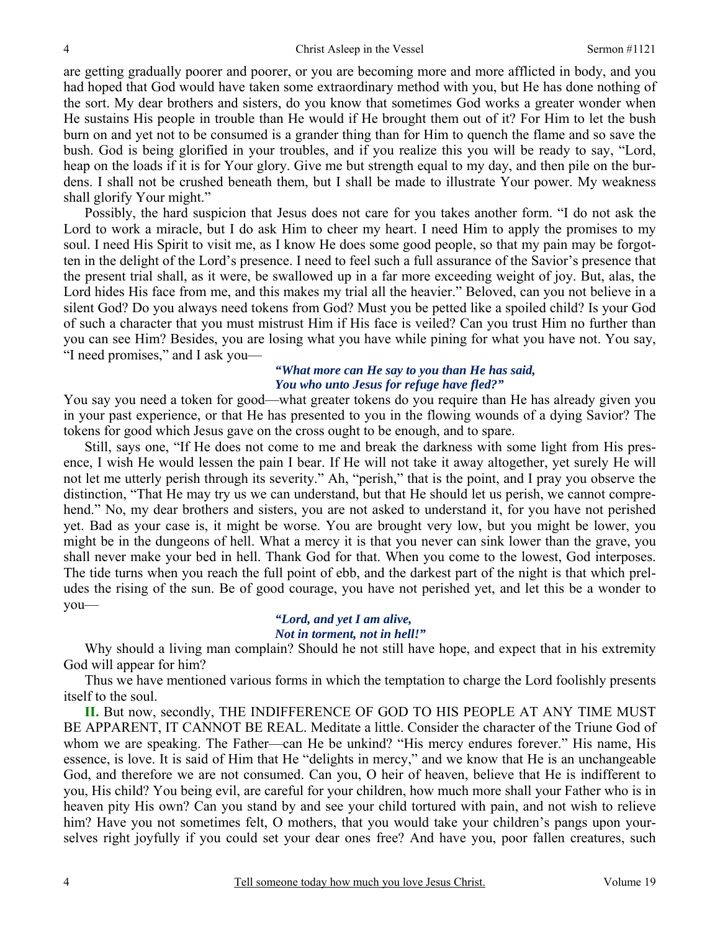are getting gradually poorer and poorer, or you are becoming more and more afflicted in body, and you had hoped that God would have taken some extraordinary method with you, but He has done nothing of the sort. My dear brothers and sisters, do you know that sometimes God works a greater wonder when He sustains His people in trouble than He would if He brought them out of it? For Him to let the bush burn on and yet not to be consumed is a grander thing than for Him to quench the flame and so save the bush. God is being glorified in your troubles, and if you realize this you will be ready to say, "Lord, heap on the loads if it is for Your glory. Give me but strength equal to my day, and then pile on the burdens. I shall not be crushed beneath them, but I shall be made to illustrate Your power. My weakness shall glorify Your might."

Possibly, the hard suspicion that Jesus does not care for you takes another form. "I do not ask the Lord to work a miracle, but I do ask Him to cheer my heart. I need Him to apply the promises to my soul. I need His Spirit to visit me, as I know He does some good people, so that my pain may be forgotten in the delight of the Lord's presence. I need to feel such a full assurance of the Savior's presence that the present trial shall, as it were, be swallowed up in a far more exceeding weight of joy. But, alas, the Lord hides His face from me, and this makes my trial all the heavier." Beloved, can you not believe in a silent God? Do you always need tokens from God? Must you be petted like a spoiled child? Is your God of such a character that you must mistrust Him if His face is veiled? Can you trust Him no further than you can see Him? Besides, you are losing what you have while pining for what you have not. You say, "I need promises," and I ask you—

## *"What more can He say to you than He has said, You who unto Jesus for refuge have fled?"*

You say you need a token for good—what greater tokens do you require than He has already given you in your past experience, or that He has presented to you in the flowing wounds of a dying Savior? The tokens for good which Jesus gave on the cross ought to be enough, and to spare.

 Still, says one, "If He does not come to me and break the darkness with some light from His presence, I wish He would lessen the pain I bear. If He will not take it away altogether, yet surely He will not let me utterly perish through its severity." Ah, "perish," that is the point, and I pray you observe the distinction, "That He may try us we can understand, but that He should let us perish, we cannot comprehend." No, my dear brothers and sisters, you are not asked to understand it, for you have not perished yet. Bad as your case is, it might be worse. You are brought very low, but you might be lower, you might be in the dungeons of hell. What a mercy it is that you never can sink lower than the grave, you shall never make your bed in hell. Thank God for that. When you come to the lowest, God interposes. The tide turns when you reach the full point of ebb, and the darkest part of the night is that which preludes the rising of the sun. Be of good courage, you have not perished yet, and let this be a wonder to you—

### *"Lord, and yet I am alive, Not in torment, not in hell!"*

Why should a living man complain? Should he not still have hope, and expect that in his extremity God will appear for him?

Thus we have mentioned various forms in which the temptation to charge the Lord foolishly presents itself to the soul.

**II.** But now, secondly, THE INDIFFERENCE OF GOD TO HIS PEOPLE AT ANY TIME MUST BE APPARENT, IT CANNOT BE REAL. Meditate a little. Consider the character of the Triune God of whom we are speaking. The Father—can He be unkind? "His mercy endures forever." His name, His essence, is love. It is said of Him that He "delights in mercy," and we know that He is an unchangeable God, and therefore we are not consumed. Can you, O heir of heaven, believe that He is indifferent to you, His child? You being evil, are careful for your children, how much more shall your Father who is in heaven pity His own? Can you stand by and see your child tortured with pain, and not wish to relieve him? Have you not sometimes felt, O mothers, that you would take your children's pangs upon yourselves right joyfully if you could set your dear ones free? And have you, poor fallen creatures, such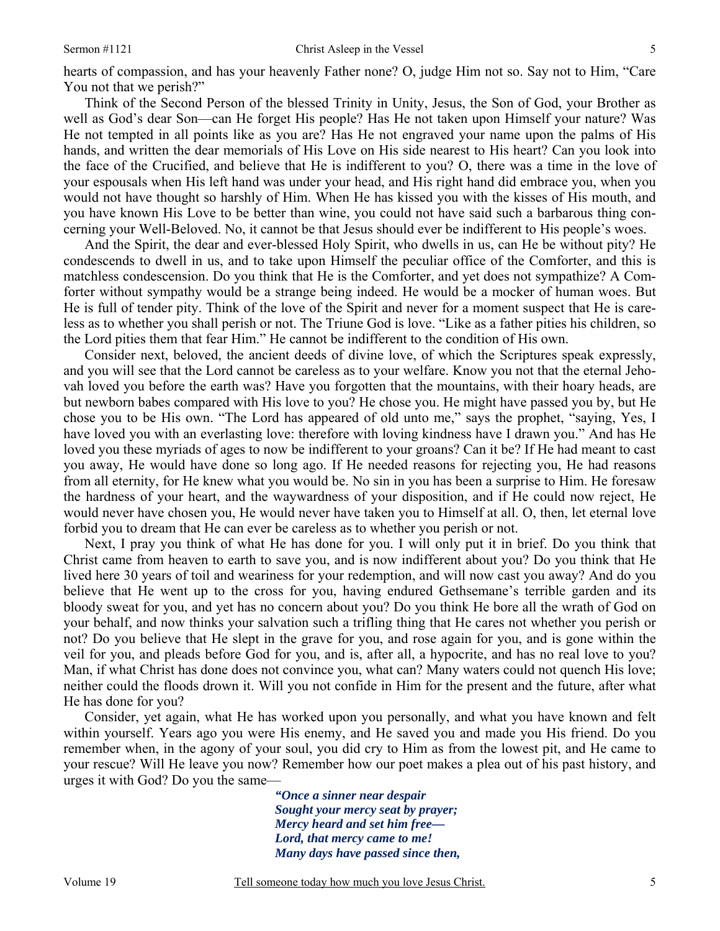hearts of compassion, and has your heavenly Father none? O, judge Him not so. Say not to Him, "Care You not that we perish?"

Think of the Second Person of the blessed Trinity in Unity, Jesus, the Son of God, your Brother as well as God's dear Son—can He forget His people? Has He not taken upon Himself your nature? Was He not tempted in all points like as you are? Has He not engraved your name upon the palms of His hands, and written the dear memorials of His Love on His side nearest to His heart? Can you look into the face of the Crucified, and believe that He is indifferent to you? O, there was a time in the love of your espousals when His left hand was under your head, and His right hand did embrace you, when you would not have thought so harshly of Him. When He has kissed you with the kisses of His mouth, and you have known His Love to be better than wine, you could not have said such a barbarous thing concerning your Well-Beloved. No, it cannot be that Jesus should ever be indifferent to His people's woes.

And the Spirit, the dear and ever-blessed Holy Spirit, who dwells in us, can He be without pity? He condescends to dwell in us, and to take upon Himself the peculiar office of the Comforter, and this is matchless condescension. Do you think that He is the Comforter, and yet does not sympathize? A Comforter without sympathy would be a strange being indeed. He would be a mocker of human woes. But He is full of tender pity. Think of the love of the Spirit and never for a moment suspect that He is careless as to whether you shall perish or not. The Triune God is love. "Like as a father pities his children, so the Lord pities them that fear Him." He cannot be indifferent to the condition of His own.

Consider next, beloved, the ancient deeds of divine love, of which the Scriptures speak expressly, and you will see that the Lord cannot be careless as to your welfare. Know you not that the eternal Jehovah loved you before the earth was? Have you forgotten that the mountains, with their hoary heads, are but newborn babes compared with His love to you? He chose you. He might have passed you by, but He chose you to be His own. "The Lord has appeared of old unto me," says the prophet, "saying, Yes, I have loved you with an everlasting love: therefore with loving kindness have I drawn you." And has He loved you these myriads of ages to now be indifferent to your groans? Can it be? If He had meant to cast you away, He would have done so long ago. If He needed reasons for rejecting you, He had reasons from all eternity, for He knew what you would be. No sin in you has been a surprise to Him. He foresaw the hardness of your heart, and the waywardness of your disposition, and if He could now reject, He would never have chosen you, He would never have taken you to Himself at all. O, then, let eternal love forbid you to dream that He can ever be careless as to whether you perish or not.

Next, I pray you think of what He has done for you. I will only put it in brief. Do you think that Christ came from heaven to earth to save you, and is now indifferent about you? Do you think that He lived here 30 years of toil and weariness for your redemption, and will now cast you away? And do you believe that He went up to the cross for you, having endured Gethsemane's terrible garden and its bloody sweat for you, and yet has no concern about you? Do you think He bore all the wrath of God on your behalf, and now thinks your salvation such a trifling thing that He cares not whether you perish or not? Do you believe that He slept in the grave for you, and rose again for you, and is gone within the veil for you, and pleads before God for you, and is, after all, a hypocrite, and has no real love to you? Man, if what Christ has done does not convince you, what can? Many waters could not quench His love; neither could the floods drown it. Will you not confide in Him for the present and the future, after what He has done for you?

Consider, yet again, what He has worked upon you personally, and what you have known and felt within yourself. Years ago you were His enemy, and He saved you and made you His friend. Do you remember when, in the agony of your soul, you did cry to Him as from the lowest pit, and He came to your rescue? Will He leave you now? Remember how our poet makes a plea out of his past history, and urges it with God? Do you the same—

> *"Once a sinner near despair Sought your mercy seat by prayer; Mercy heard and set him free— Lord, that mercy came to me! Many days have passed since then,*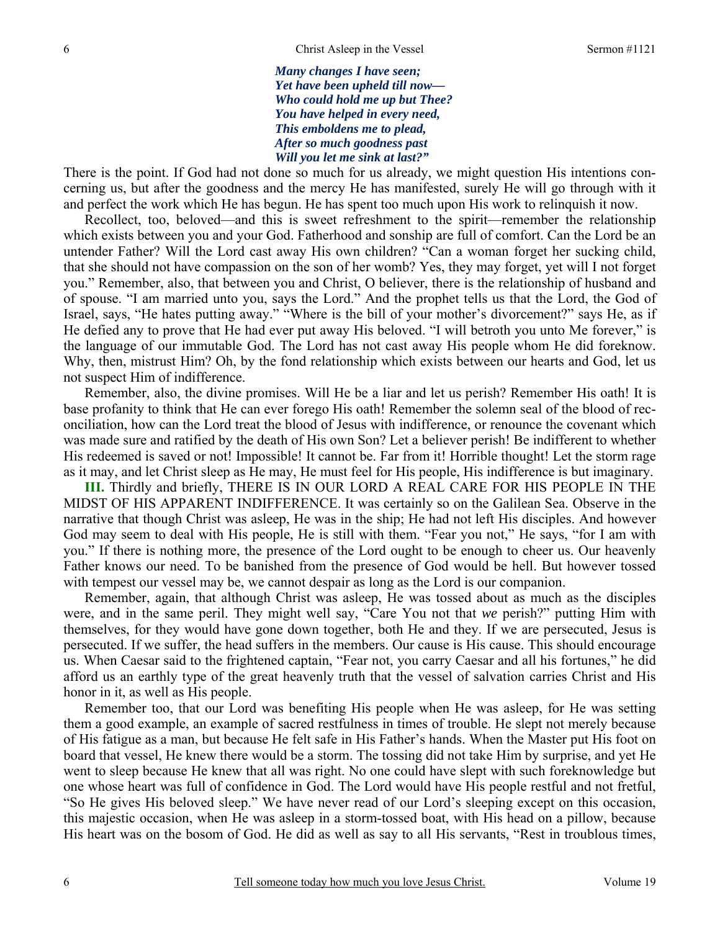*Many changes I have seen; Yet have been upheld till now— Who could hold me up but Thee? You have helped in every need, This emboldens me to plead, After so much goodness past Will you let me sink at last?"* 

There is the point. If God had not done so much for us already, we might question His intentions concerning us, but after the goodness and the mercy He has manifested, surely He will go through with it and perfect the work which He has begun. He has spent too much upon His work to relinquish it now.

 Recollect, too, beloved—and this is sweet refreshment to the spirit—remember the relationship which exists between you and your God. Fatherhood and sonship are full of comfort. Can the Lord be an untender Father? Will the Lord cast away His own children? "Can a woman forget her sucking child, that she should not have compassion on the son of her womb? Yes, they may forget, yet will I not forget you." Remember, also, that between you and Christ, O believer, there is the relationship of husband and of spouse. "I am married unto you, says the Lord." And the prophet tells us that the Lord, the God of Israel, says, "He hates putting away." "Where is the bill of your mother's divorcement?" says He, as if He defied any to prove that He had ever put away His beloved. "I will betroth you unto Me forever," is the language of our immutable God. The Lord has not cast away His people whom He did foreknow. Why, then, mistrust Him? Oh, by the fond relationship which exists between our hearts and God, let us not suspect Him of indifference.

 Remember, also, the divine promises. Will He be a liar and let us perish? Remember His oath! It is base profanity to think that He can ever forego His oath! Remember the solemn seal of the blood of reconciliation, how can the Lord treat the blood of Jesus with indifference, or renounce the covenant which was made sure and ratified by the death of His own Son? Let a believer perish! Be indifferent to whether His redeemed is saved or not! Impossible! It cannot be. Far from it! Horrible thought! Let the storm rage as it may, and let Christ sleep as He may, He must feel for His people, His indifference is but imaginary.

**III.** Thirdly and briefly, THERE IS IN OUR LORD A REAL CARE FOR HIS PEOPLE IN THE MIDST OF HIS APPARENT INDIFFERENCE. It was certainly so on the Galilean Sea. Observe in the narrative that though Christ was asleep, He was in the ship; He had not left His disciples. And however God may seem to deal with His people, He is still with them. "Fear you not," He says, "for I am with you." If there is nothing more, the presence of the Lord ought to be enough to cheer us. Our heavenly Father knows our need. To be banished from the presence of God would be hell. But however tossed with tempest our vessel may be, we cannot despair as long as the Lord is our companion.

Remember, again, that although Christ was asleep, He was tossed about as much as the disciples were, and in the same peril. They might well say, "Care You not that *we* perish?" putting Him with themselves, for they would have gone down together, both He and they. If we are persecuted, Jesus is persecuted. If we suffer, the head suffers in the members. Our cause is His cause. This should encourage us. When Caesar said to the frightened captain, "Fear not, you carry Caesar and all his fortunes," he did afford us an earthly type of the great heavenly truth that the vessel of salvation carries Christ and His honor in it, as well as His people.

Remember too, that our Lord was benefiting His people when He was asleep, for He was setting them a good example, an example of sacred restfulness in times of trouble. He slept not merely because of His fatigue as a man, but because He felt safe in His Father's hands. When the Master put His foot on board that vessel, He knew there would be a storm. The tossing did not take Him by surprise, and yet He went to sleep because He knew that all was right. No one could have slept with such foreknowledge but one whose heart was full of confidence in God. The Lord would have His people restful and not fretful, "So He gives His beloved sleep." We have never read of our Lord's sleeping except on this occasion, this majestic occasion, when He was asleep in a storm-tossed boat, with His head on a pillow, because His heart was on the bosom of God. He did as well as say to all His servants, "Rest in troublous times,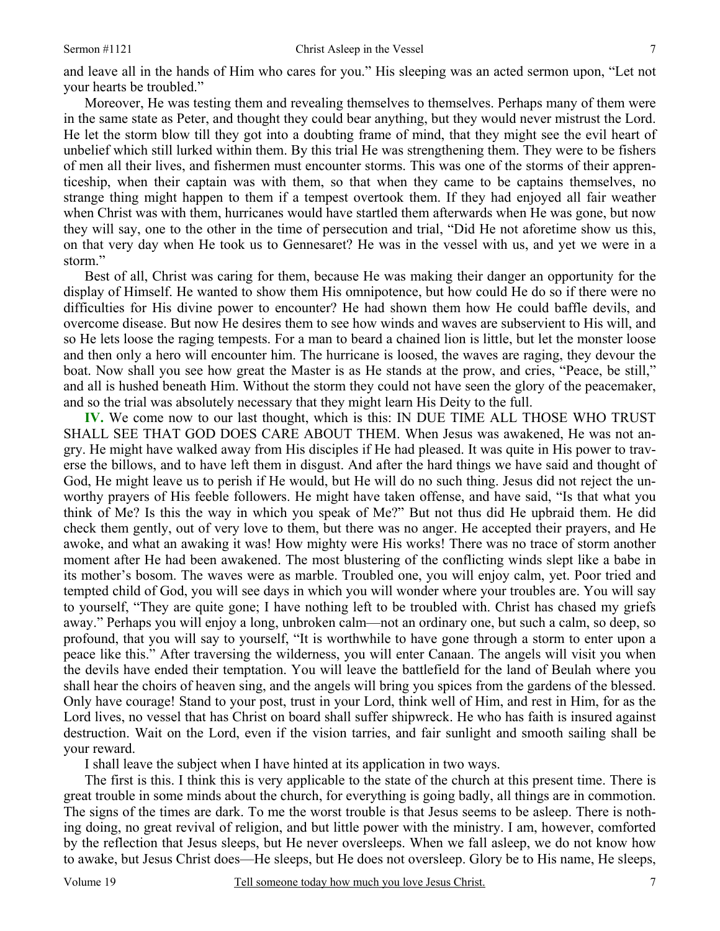Moreover, He was testing them and revealing themselves to themselves. Perhaps many of them were in the same state as Peter, and thought they could bear anything, but they would never mistrust the Lord. He let the storm blow till they got into a doubting frame of mind, that they might see the evil heart of unbelief which still lurked within them. By this trial He was strengthening them. They were to be fishers of men all their lives, and fishermen must encounter storms. This was one of the storms of their apprenticeship, when their captain was with them, so that when they came to be captains themselves, no strange thing might happen to them if a tempest overtook them. If they had enjoyed all fair weather when Christ was with them, hurricanes would have startled them afterwards when He was gone, but now they will say, one to the other in the time of persecution and trial, "Did He not aforetime show us this, on that very day when He took us to Gennesaret? He was in the vessel with us, and yet we were in a storm."

Best of all, Christ was caring for them, because He was making their danger an opportunity for the display of Himself. He wanted to show them His omnipotence, but how could He do so if there were no difficulties for His divine power to encounter? He had shown them how He could baffle devils, and overcome disease. But now He desires them to see how winds and waves are subservient to His will, and so He lets loose the raging tempests. For a man to beard a chained lion is little, but let the monster loose and then only a hero will encounter him. The hurricane is loosed, the waves are raging, they devour the boat. Now shall you see how great the Master is as He stands at the prow, and cries, "Peace, be still," and all is hushed beneath Him. Without the storm they could not have seen the glory of the peacemaker, and so the trial was absolutely necessary that they might learn His Deity to the full.

**IV.** We come now to our last thought, which is this: IN DUE TIME ALL THOSE WHO TRUST SHALL SEE THAT GOD DOES CARE ABOUT THEM. When Jesus was awakened, He was not angry. He might have walked away from His disciples if He had pleased. It was quite in His power to traverse the billows, and to have left them in disgust. And after the hard things we have said and thought of God, He might leave us to perish if He would, but He will do no such thing. Jesus did not reject the unworthy prayers of His feeble followers. He might have taken offense, and have said, "Is that what you think of Me? Is this the way in which you speak of Me?" But not thus did He upbraid them. He did check them gently, out of very love to them, but there was no anger. He accepted their prayers, and He awoke, and what an awaking it was! How mighty were His works! There was no trace of storm another moment after He had been awakened. The most blustering of the conflicting winds slept like a babe in its mother's bosom. The waves were as marble. Troubled one, you will enjoy calm, yet. Poor tried and tempted child of God, you will see days in which you will wonder where your troubles are. You will say to yourself, "They are quite gone; I have nothing left to be troubled with. Christ has chased my griefs away." Perhaps you will enjoy a long, unbroken calm—not an ordinary one, but such a calm, so deep, so profound, that you will say to yourself, "It is worthwhile to have gone through a storm to enter upon a peace like this." After traversing the wilderness, you will enter Canaan. The angels will visit you when the devils have ended their temptation. You will leave the battlefield for the land of Beulah where you shall hear the choirs of heaven sing, and the angels will bring you spices from the gardens of the blessed. Only have courage! Stand to your post, trust in your Lord, think well of Him, and rest in Him, for as the Lord lives, no vessel that has Christ on board shall suffer shipwreck. He who has faith is insured against destruction. Wait on the Lord, even if the vision tarries, and fair sunlight and smooth sailing shall be your reward.

I shall leave the subject when I have hinted at its application in two ways.

The first is this. I think this is very applicable to the state of the church at this present time. There is great trouble in some minds about the church, for everything is going badly, all things are in commotion. The signs of the times are dark. To me the worst trouble is that Jesus seems to be asleep. There is nothing doing, no great revival of religion, and but little power with the ministry. I am, however, comforted by the reflection that Jesus sleeps, but He never oversleeps. When we fall asleep, we do not know how to awake, but Jesus Christ does—He sleeps, but He does not oversleep. Glory be to His name, He sleeps,